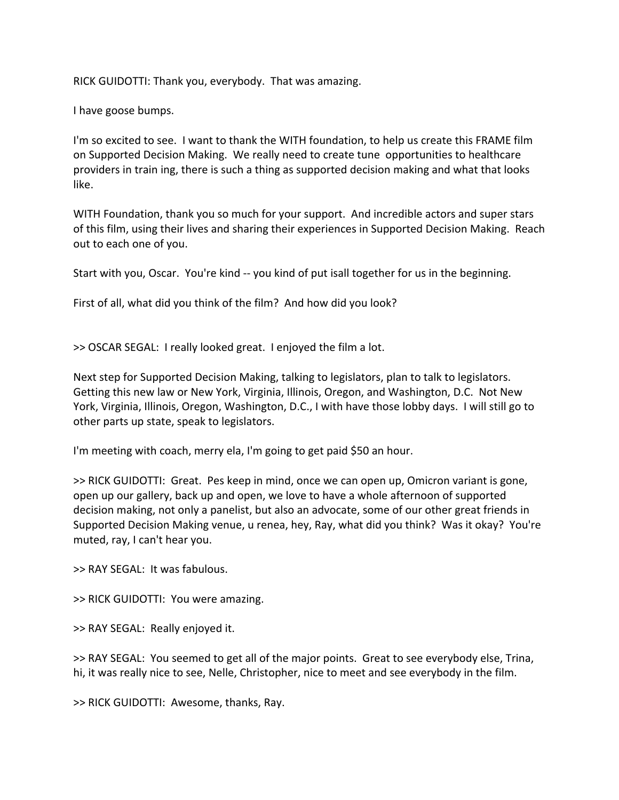RICK GUIDOTTI: Thank you, everybody. That was amazing.

I have goose bumps.

I'm so excited to see. I want to thank the WITH foundation, to help us create this FRAME film on Supported Decision Making. We really need to create tune opportunities to healthcare providers in train ing, there is such a thing as supported decision making and what that looks like.

WITH Foundation, thank you so much for your support. And incredible actors and super stars of this film, using their lives and sharing their experiences in Supported Decision Making. Reach out to each one of you.

Start with you, Oscar. You're kind -- you kind of put isall together for us in the beginning.

First of all, what did you think of the film? And how did you look?

>> OSCAR SEGAL: I really looked great. I enjoyed the film a lot.

Next step for Supported Decision Making, talking to legislators, plan to talk to legislators. Getting this new law or New York, Virginia, Illinois, Oregon, and Washington, D.C. Not New York, Virginia, Illinois, Oregon, Washington, D.C., I with have those lobby days. I will still go to other parts up state, speak to legislators.

I'm meeting with coach, merry ela, I'm going to get paid \$50 an hour.

>> RICK GUIDOTTI: Great. Pes keep in mind, once we can open up, Omicron variant is gone, open up our gallery, back up and open, we love to have a whole afternoon of supported decision making, not only a panelist, but also an advocate, some of our other great friends in Supported Decision Making venue, u renea, hey, Ray, what did you think? Was it okay? You're muted, ray, I can't hear you.

>> RAY SEGAL: It was fabulous.

>> RICK GUIDOTTI: You were amazing.

>> RAY SEGAL: Really enjoyed it.

>> RAY SEGAL: You seemed to get all of the major points. Great to see everybody else, Trina, hi, it was really nice to see, Nelle, Christopher, nice to meet and see everybody in the film.

>> RICK GUIDOTTI: Awesome, thanks, Ray.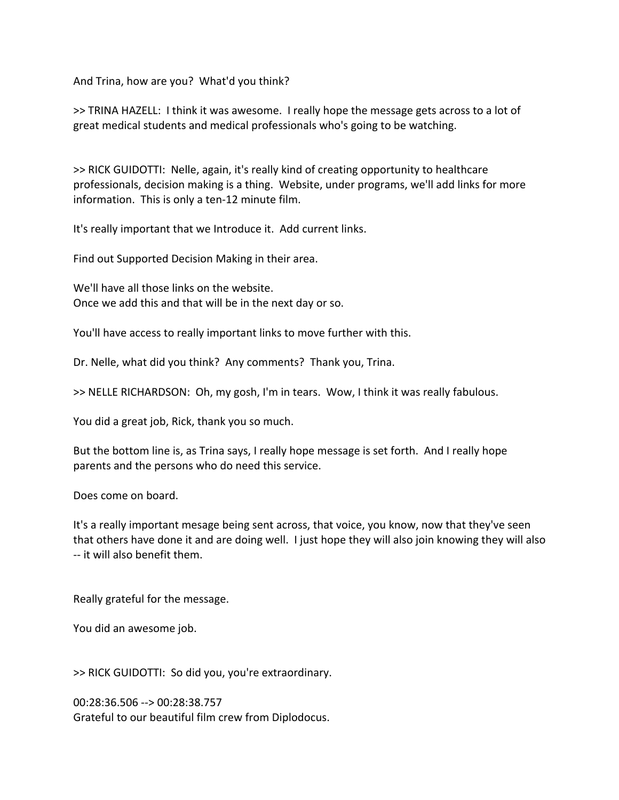And Trina, how are you? What'd you think?

>> TRINA HAZELL: I think it was awesome. I really hope the message gets across to a lot of great medical students and medical professionals who's going to be watching.

>> RICK GUIDOTTI: Nelle, again, it's really kind of creating opportunity to healthcare professionals, decision making is a thing. Website, under programs, we'll add links for more information. This is only a ten-12 minute film.

It's really important that we Introduce it. Add current links.

Find out Supported Decision Making in their area.

We'll have all those links on the website. Once we add this and that will be in the next day or so.

You'll have access to really important links to move further with this.

Dr. Nelle, what did you think? Any comments? Thank you, Trina.

>> NELLE RICHARDSON: Oh, my gosh, I'm in tears. Wow, I think it was really fabulous.

You did a great job, Rick, thank you so much.

But the bottom line is, as Trina says, I really hope message is set forth. And I really hope parents and the persons who do need this service.

Does come on board.

It's a really important mesage being sent across, that voice, you know, now that they've seen that others have done it and are doing well. I just hope they will also join knowing they will also -- it will also benefit them.

Really grateful for the message.

You did an awesome job.

>> RICK GUIDOTTI: So did you, you're extraordinary.

00:28:36.506 --> 00:28:38.757 Grateful to our beautiful film crew from Diplodocus.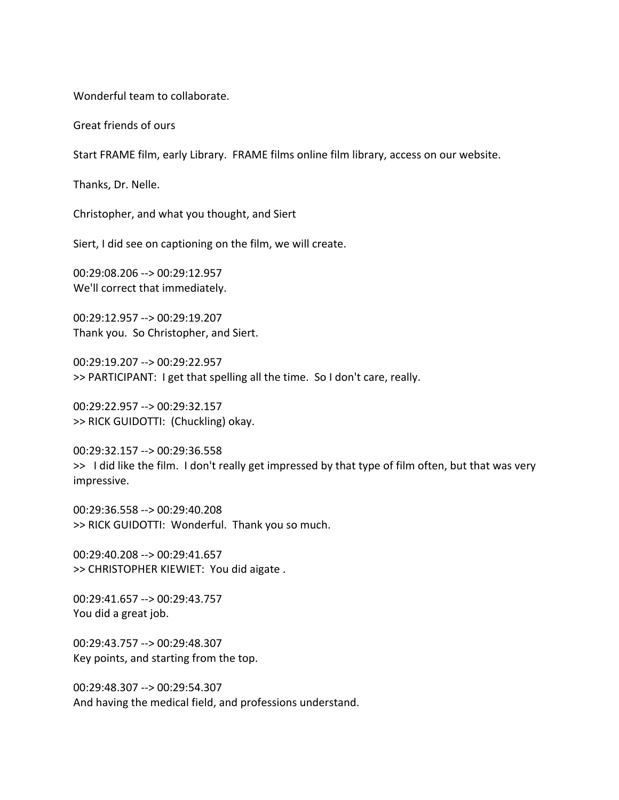Wonderful team to collaborate.

Great friends of ours

Start FRAME film, early Library. FRAME films online film library, access on our website.

Thanks, Dr. Nelle.

Christopher, and what you thought, and Siert

Siert, I did see on captioning on the film, we will create.

00:29:08.206 --> 00:29:12.957 We'll correct that immediately.

00:29:12.957 --> 00:29:19.207 Thank you. So Christopher, and Siert.

00:29:19.207 --> 00:29:22.957 >> PARTICIPANT: I get that spelling all the time. So I don't care, really.

00:29:22.957 --> 00:29:32.157 >> RICK GUIDOTTI: (Chuckling) okay.

00:29:32.157 --> 00:29:36.558 >> I did like the film. I don't really get impressed by that type of film often, but that was very impressive.

00:29:36.558 --> 00:29:40.208 >> RICK GUIDOTTI: Wonderful. Thank you so much.

00:29:40.208 --> 00:29:41.657 >> CHRISTOPHER KIEWIET: You did aigate .

00:29:41.657 --> 00:29:43.757 You did a great job.

00:29:43.757 --> 00:29:48.307 Key points, and starting from the top.

00:29:48.307 --> 00:29:54.307 And having the medical field, and professions understand.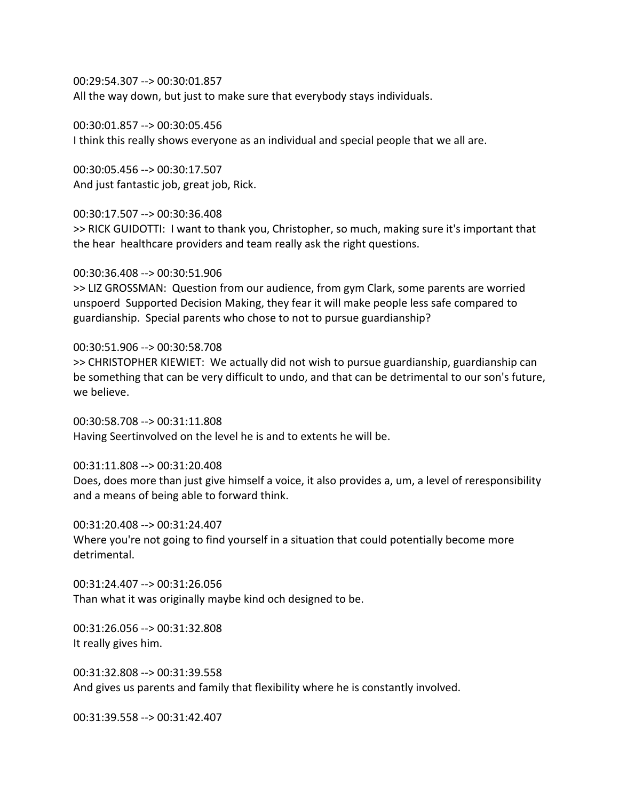00:29:54.307 --> 00:30:01.857

All the way down, but just to make sure that everybody stays individuals.

00:30:01.857 --> 00:30:05.456 I think this really shows everyone as an individual and special people that we all are.

00:30:05.456 --> 00:30:17.507 And just fantastic job, great job, Rick.

00:30:17.507 --> 00:30:36.408

>> RICK GUIDOTTI: I want to thank you, Christopher, so much, making sure it's important that the hear healthcare providers and team really ask the right questions.

00:30:36.408 --> 00:30:51.906

>> LIZ GROSSMAN: Question from our audience, from gym Clark, some parents are worried unspoerd Supported Decision Making, they fear it will make people less safe compared to guardianship. Special parents who chose to not to pursue guardianship?

00:30:51.906 --> 00:30:58.708 >> CHRISTOPHER KIEWIET: We actually did not wish to pursue guardianship, guardianship can be something that can be very difficult to undo, and that can be detrimental to our son's future, we believe.

00:30:58.708 --> 00:31:11.808 Having Seertinvolved on the level he is and to extents he will be.

00:31:11.808 --> 00:31:20.408 Does, does more than just give himself a voice, it also provides a, um, a level of reresponsibility and a means of being able to forward think.

00:31:20.408 --> 00:31:24.407 Where you're not going to find yourself in a situation that could potentially become more detrimental.

00:31:24.407 --> 00:31:26.056 Than what it was originally maybe kind och designed to be.

00:31:26.056 --> 00:31:32.808 It really gives him.

00:31:32.808 --> 00:31:39.558 And gives us parents and family that flexibility where he is constantly involved.

00:31:39.558 --> 00:31:42.407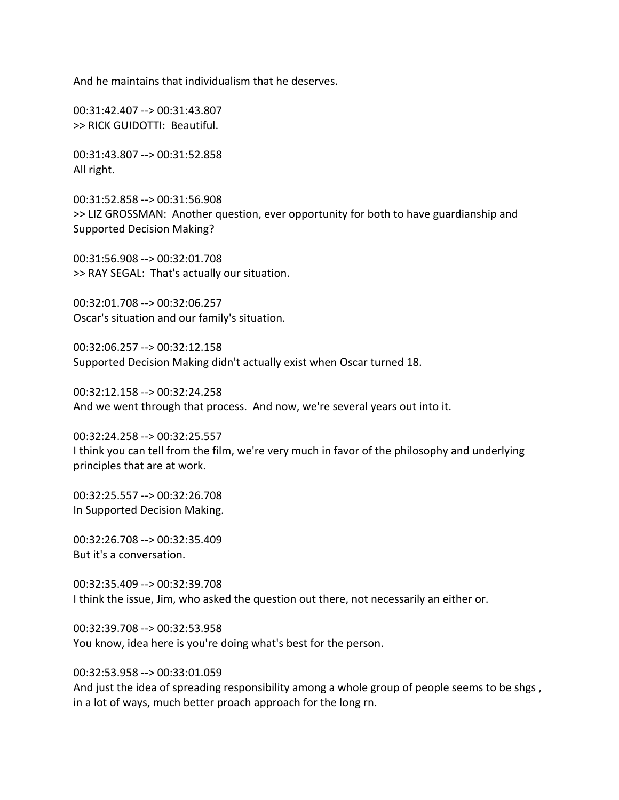And he maintains that individualism that he deserves.

00:31:42.407 --> 00:31:43.807 >> RICK GUIDOTTI: Beautiful.

00:31:43.807 --> 00:31:52.858 All right.

00:31:52.858 --> 00:31:56.908 >> LIZ GROSSMAN: Another question, ever opportunity for both to have guardianship and Supported Decision Making?

00:31:56.908 --> 00:32:01.708 >> RAY SEGAL: That's actually our situation.

00:32:01.708 --> 00:32:06.257 Oscar's situation and our family's situation.

00:32:06.257 --> 00:32:12.158 Supported Decision Making didn't actually exist when Oscar turned 18.

00:32:12.158 --> 00:32:24.258 And we went through that process. And now, we're several years out into it.

00:32:24.258 --> 00:32:25.557 I think you can tell from the film, we're very much in favor of the philosophy and underlying principles that are at work.

00:32:25.557 --> 00:32:26.708 In Supported Decision Making.

00:32:26.708 --> 00:32:35.409 But it's a conversation.

00:32:35.409 --> 00:32:39.708 I think the issue, Jim, who asked the question out there, not necessarily an either or.

00:32:39.708 --> 00:32:53.958 You know, idea here is you're doing what's best for the person.

00:32:53.958 --> 00:33:01.059

And just the idea of spreading responsibility among a whole group of people seems to be shgs, in a lot of ways, much better proach approach for the long rn.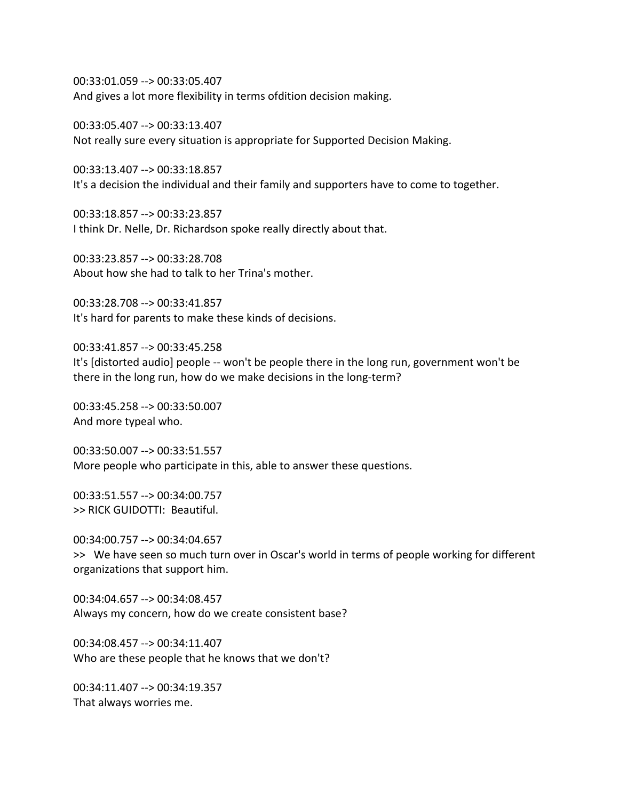00:33:01.059 --> 00:33:05.407 And gives a lot more flexibility in terms ofdition decision making.

00:33:05.407 --> 00:33:13.407 Not really sure every situation is appropriate for Supported Decision Making.

00:33:13.407 --> 00:33:18.857 It's a decision the individual and their family and supporters have to come to together.

00:33:18.857 --> 00:33:23.857 I think Dr. Nelle, Dr. Richardson spoke really directly about that.

00:33:23.857 --> 00:33:28.708 About how she had to talk to her Trina's mother.

00:33:28.708 --> 00:33:41.857 It's hard for parents to make these kinds of decisions.

00:33:41.857 --> 00:33:45.258 It's [distorted audio] people -- won't be people there in the long run, government won't be there in the long run, how do we make decisions in the long-term?

00:33:45.258 --> 00:33:50.007 And more typeal who.

00:33:50.007 --> 00:33:51.557 More people who participate in this, able to answer these questions.

00:33:51.557 --> 00:34:00.757 >> RICK GUIDOTTI: Beautiful.

00:34:00.757 --> 00:34:04.657 >> We have seen so much turn over in Oscar's world in terms of people working for different organizations that support him.

00:34:04.657 --> 00:34:08.457 Always my concern, how do we create consistent base?

00:34:08.457 --> 00:34:11.407 Who are these people that he knows that we don't?

00:34:11.407 --> 00:34:19.357 That always worries me.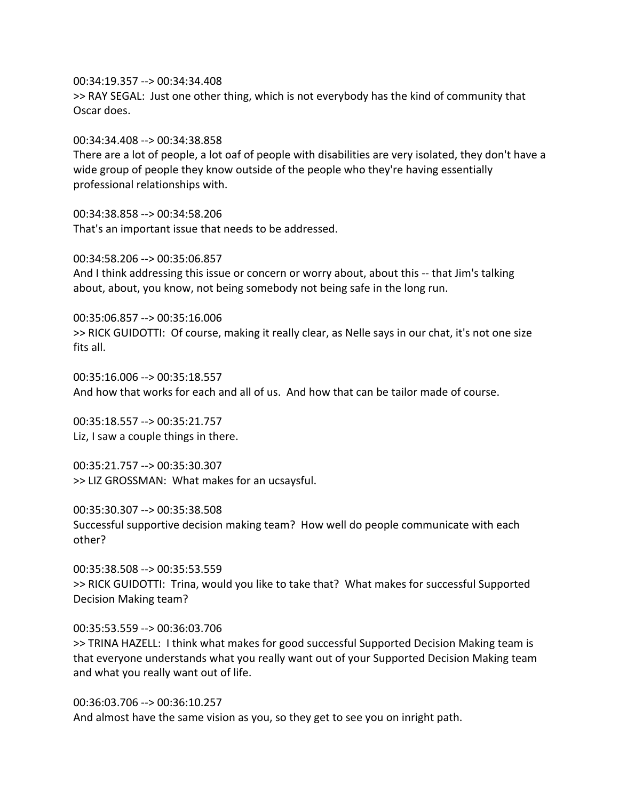00:34:19.357 --> 00:34:34.408

>> RAY SEGAL: Just one other thing, which is not everybody has the kind of community that Oscar does.

00:34:34.408 --> 00:34:38.858

There are a lot of people, a lot oaf of people with disabilities are very isolated, they don't have a wide group of people they know outside of the people who they're having essentially professional relationships with.

00:34:38.858 --> 00:34:58.206 That's an important issue that needs to be addressed.

00:34:58.206 --> 00:35:06.857

And I think addressing this issue or concern or worry about, about this -- that Jim's talking about, about, you know, not being somebody not being safe in the long run.

00:35:06.857 --> 00:35:16.006 >> RICK GUIDOTTI: Of course, making it really clear, as Nelle says in our chat, it's not one size fits all.

00:35:16.006 --> 00:35:18.557 And how that works for each and all of us. And how that can be tailor made of course.

00:35:18.557 --> 00:35:21.757 Liz, I saw a couple things in there.

00:35:21.757 --> 00:35:30.307 >> LIZ GROSSMAN: What makes for an ucsaysful.

00:35:30.307 --> 00:35:38.508 Successful supportive decision making team? How well do people communicate with each other?

00:35:38.508 --> 00:35:53.559 >> RICK GUIDOTTI: Trina, would you like to take that? What makes for successful Supported Decision Making team?

00:35:53.559 --> 00:36:03.706 >> TRINA HAZELL: I think what makes for good successful Supported Decision Making team is that everyone understands what you really want out of your Supported Decision Making team and what you really want out of life.

00:36:03.706 --> 00:36:10.257 And almost have the same vision as you, so they get to see you on inright path.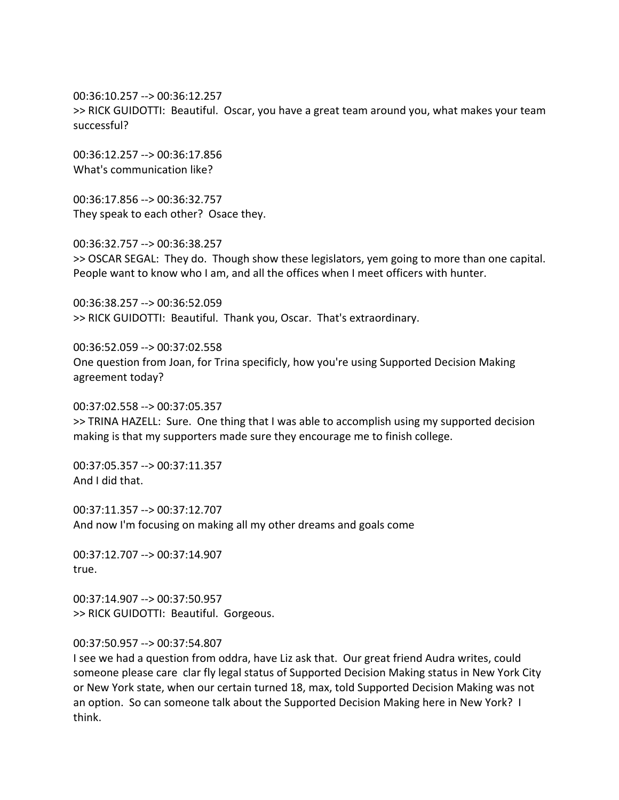00:36:10.257 --> 00:36:12.257 >> RICK GUIDOTTI: Beautiful. Oscar, you have a great team around you, what makes your team successful?

00:36:12.257 --> 00:36:17.856 What's communication like?

00:36:17.856 --> 00:36:32.757 They speak to each other? Osace they.

00:36:32.757 --> 00:36:38.257 >> OSCAR SEGAL: They do. Though show these legislators, yem going to more than one capital. People want to know who I am, and all the offices when I meet officers with hunter.

00:36:38.257 --> 00:36:52.059 >> RICK GUIDOTTI: Beautiful. Thank you, Oscar. That's extraordinary.

00:36:52.059 --> 00:37:02.558 One question from Joan, for Trina specificly, how you're using Supported Decision Making agreement today?

00:37:02.558 --> 00:37:05.357 >> TRINA HAZELL: Sure. One thing that I was able to accomplish using my supported decision making is that my supporters made sure they encourage me to finish college.

00:37:05.357 --> 00:37:11.357 And I did that.

00:37:11.357 --> 00:37:12.707 And now I'm focusing on making all my other dreams and goals come

00:37:12.707 --> 00:37:14.907 true.

00:37:14.907 --> 00:37:50.957 >> RICK GUIDOTTI: Beautiful. Gorgeous.

## 00:37:50.957 --> 00:37:54.807

I see we had a question from oddra, have Liz ask that. Our great friend Audra writes, could someone please care clar fly legal status of Supported Decision Making status in New York City or New York state, when our certain turned 18, max, told Supported Decision Making was not an option. So can someone talk about the Supported Decision Making here in New York? I think.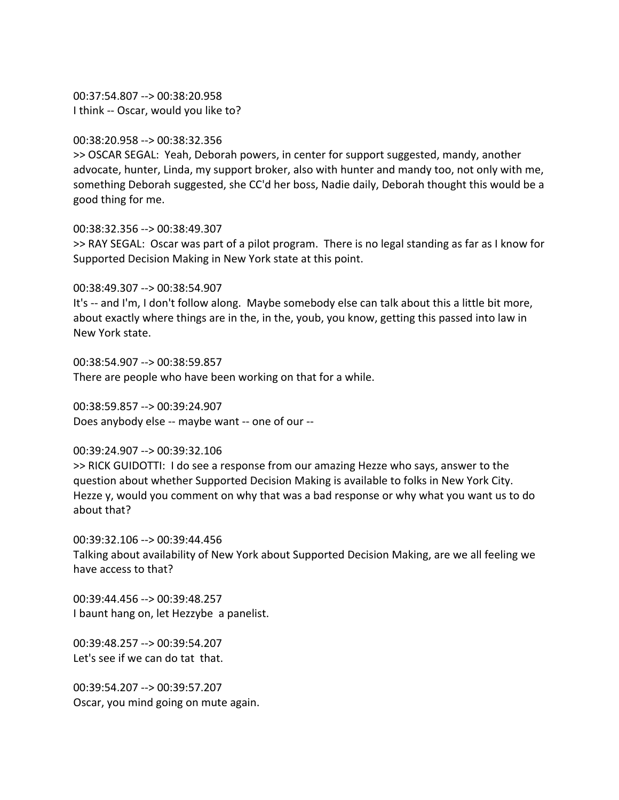00:37:54.807 --> 00:38:20.958 I think -- Oscar, would you like to?

## 00:38:20.958 --> 00:38:32.356

>> OSCAR SEGAL: Yeah, Deborah powers, in center for support suggested, mandy, another advocate, hunter, Linda, my support broker, also with hunter and mandy too, not only with me, something Deborah suggested, she CC'd her boss, Nadie daily, Deborah thought this would be a good thing for me.

### 00:38:32.356 --> 00:38:49.307

>> RAY SEGAL: Oscar was part of a pilot program. There is no legal standing as far as I know for Supported Decision Making in New York state at this point.

00:38:49.307 --> 00:38:54.907

It's -- and I'm, I don't follow along. Maybe somebody else can talk about this a little bit more, about exactly where things are in the, in the, youb, you know, getting this passed into law in New York state.

00:38:54.907 --> 00:38:59.857 There are people who have been working on that for a while.

00:38:59.857 --> 00:39:24.907 Does anybody else -- maybe want -- one of our --

## 00:39:24.907 --> 00:39:32.106

>> RICK GUIDOTTI: I do see a response from our amazing Hezze who says, answer to the question about whether Supported Decision Making is available to folks in New York City. Hezze y, would you comment on why that was a bad response or why what you want us to do about that?

00:39:32.106 --> 00:39:44.456 Talking about availability of New York about Supported Decision Making, are we all feeling we have access to that?

00:39:44.456 --> 00:39:48.257 I baunt hang on, let Hezzybe a panelist.

00:39:48.257 --> 00:39:54.207 Let's see if we can do tat that.

00:39:54.207 --> 00:39:57.207 Oscar, you mind going on mute again.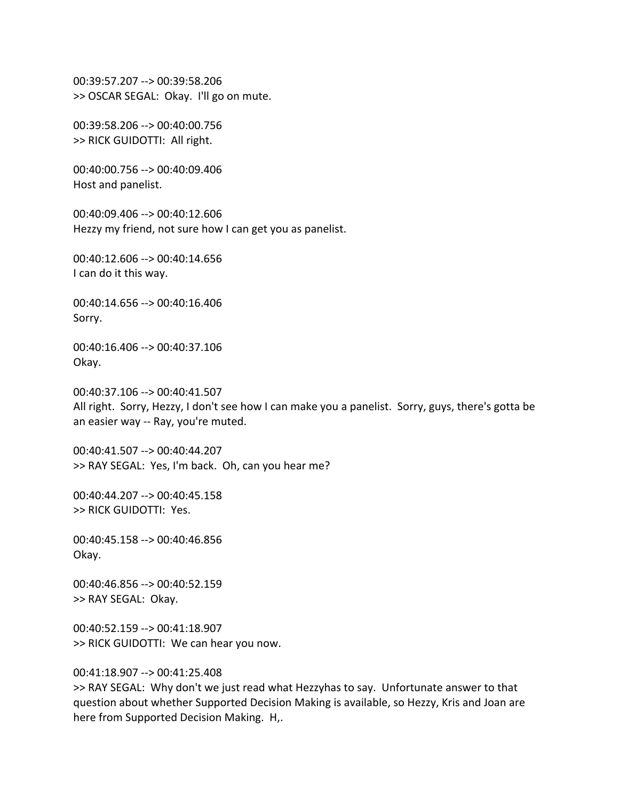00:39:57.207 --> 00:39:58.206 >> OSCAR SEGAL: Okay. I'll go on mute.

00:39:58.206 --> 00:40:00.756 >> RICK GUIDOTTI: All right.

00:40:00.756 --> 00:40:09.406 Host and panelist.

00:40:09.406 --> 00:40:12.606 Hezzy my friend, not sure how I can get you as panelist.

00:40:12.606 --> 00:40:14.656 I can do it this way.

00:40:14.656 --> 00:40:16.406 Sorry.

00:40:16.406 --> 00:40:37.106 Okay.

00:40:37.106 --> 00:40:41.507 All right. Sorry, Hezzy, I don't see how I can make you a panelist. Sorry, guys, there's gotta be an easier way -- Ray, you're muted.

00:40:41.507 --> 00:40:44.207 >> RAY SEGAL: Yes, I'm back. Oh, can you hear me?

00:40:44.207 --> 00:40:45.158 >> RICK GUIDOTTI: Yes.

00:40:45.158 --> 00:40:46.856 Okay.

00:40:46.856 --> 00:40:52.159 >> RAY SEGAL: Okay.

00:40:52.159 --> 00:41:18.907 >> RICK GUIDOTTI: We can hear you now.

00:41:18.907 --> 00:41:25.408

>> RAY SEGAL: Why don't we just read what Hezzyhas to say. Unfortunate answer to that question about whether Supported Decision Making is available, so Hezzy, Kris and Joan are here from Supported Decision Making. H,.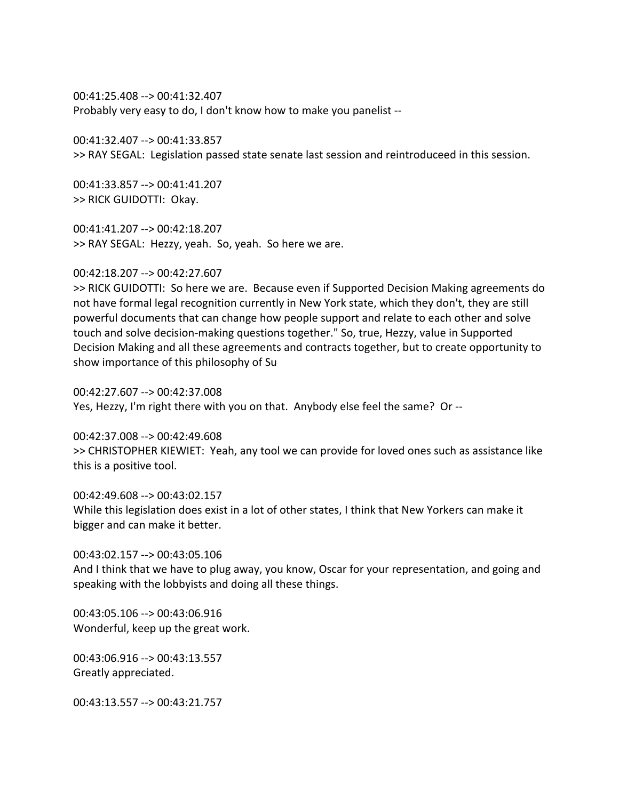00:41:25.408 --> 00:41:32.407 Probably very easy to do, I don't know how to make you panelist --

00:41:32.407 --> 00:41:33.857 >> RAY SEGAL: Legislation passed state senate last session and reintroduceed in this session.

00:41:33.857 --> 00:41:41.207 >> RICK GUIDOTTI: Okay.

00:41:41.207 --> 00:42:18.207 >> RAY SEGAL: Hezzy, yeah. So, yeah. So here we are.

00:42:18.207 --> 00:42:27.607

>> RICK GUIDOTTI: So here we are. Because even if Supported Decision Making agreements do not have formal legal recognition currently in New York state, which they don't, they are still powerful documents that can change how people support and relate to each other and solve touch and solve decision-making questions together." So, true, Hezzy, value in Supported Decision Making and all these agreements and contracts together, but to create opportunity to show importance of this philosophy of Su

00:42:27.607 --> 00:42:37.008 Yes, Hezzy, I'm right there with you on that. Anybody else feel the same? Or --

00:42:37.008 --> 00:42:49.608 >> CHRISTOPHER KIEWIET: Yeah, any tool we can provide for loved ones such as assistance like this is a positive tool.

00:42:49.608 --> 00:43:02.157 While this legislation does exist in a lot of other states, I think that New Yorkers can make it bigger and can make it better.

00:43:02.157 --> 00:43:05.106 And I think that we have to plug away, you know, Oscar for your representation, and going and speaking with the lobbyists and doing all these things.

00:43:05.106 --> 00:43:06.916 Wonderful, keep up the great work.

00:43:06.916 --> 00:43:13.557 Greatly appreciated.

00:43:13.557 --> 00:43:21.757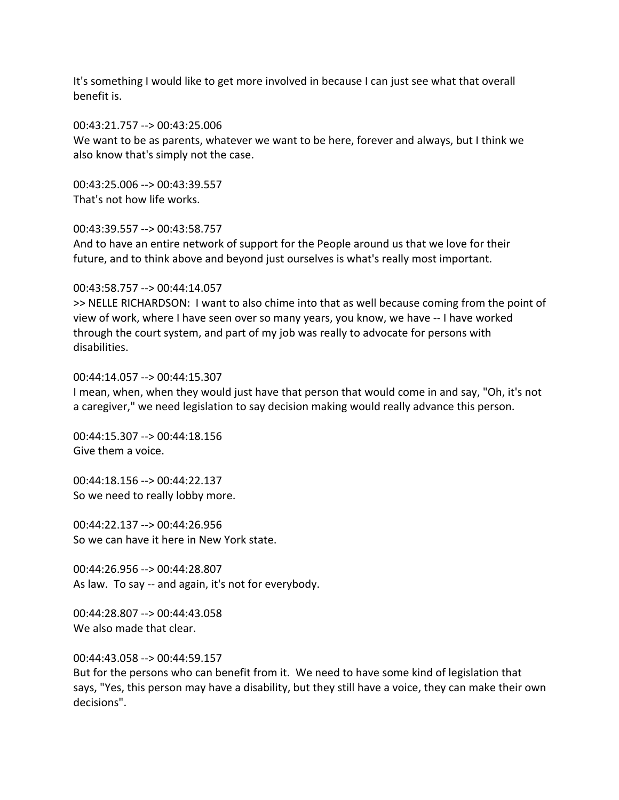It's something I would like to get more involved in because I can just see what that overall benefit is.

## 00:43:21.757 --> 00:43:25.006

We want to be as parents, whatever we want to be here, forever and always, but I think we also know that's simply not the case.

00:43:25.006 --> 00:43:39.557 That's not how life works.

## 00:43:39.557 --> 00:43:58.757

And to have an entire network of support for the People around us that we love for their future, and to think above and beyond just ourselves is what's really most important.

### 00:43:58.757 --> 00:44:14.057

>> NELLE RICHARDSON: I want to also chime into that as well because coming from the point of view of work, where I have seen over so many years, you know, we have -- I have worked through the court system, and part of my job was really to advocate for persons with disabilities.

#### 00:44:14.057 --> 00:44:15.307

I mean, when, when they would just have that person that would come in and say, "Oh, it's not a caregiver," we need legislation to say decision making would really advance this person.

00:44:15.307 --> 00:44:18.156 Give them a voice.

00:44:18.156 --> 00:44:22.137 So we need to really lobby more.

00:44:22.137 --> 00:44:26.956 So we can have it here in New York state.

00:44:26.956 --> 00:44:28.807 As law. To say -- and again, it's not for everybody.

00:44:28.807 --> 00:44:43.058 We also made that clear.

00:44:43.058 --> 00:44:59.157

But for the persons who can benefit from it. We need to have some kind of legislation that says, "Yes, this person may have a disability, but they still have a voice, they can make their own decisions".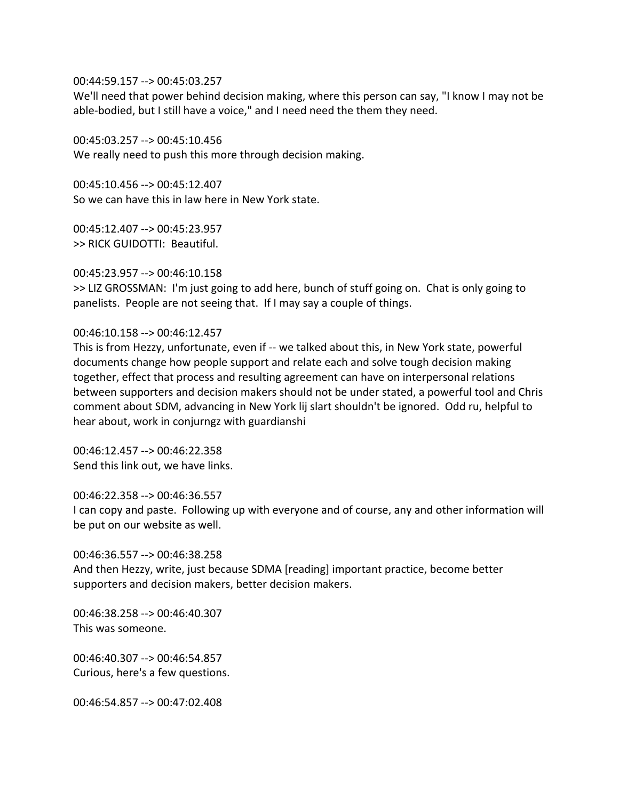00:44:59.157 --> 00:45:03.257

We'll need that power behind decision making, where this person can say, "I know I may not be able-bodied, but I still have a voice," and I need need the them they need.

00:45:03.257 --> 00:45:10.456

We really need to push this more through decision making.

00:45:10.456 --> 00:45:12.407 So we can have this in law here in New York state.

00:45:12.407 --> 00:45:23.957 >> RICK GUIDOTTI: Beautiful.

## 00:45:23.957 --> 00:46:10.158

>> LIZ GROSSMAN: I'm just going to add here, bunch of stuff going on. Chat is only going to panelists. People are not seeing that. If I may say a couple of things.

# 00:46:10.158 --> 00:46:12.457

This is from Hezzy, unfortunate, even if -- we talked about this, in New York state, powerful documents change how people support and relate each and solve tough decision making together, effect that process and resulting agreement can have on interpersonal relations between supporters and decision makers should not be under stated, a powerful tool and Chris comment about SDM, advancing in New York lij slart shouldn't be ignored. Odd ru, helpful to hear about, work in conjurngz with guardianshi

00:46:12.457 --> 00:46:22.358 Send this link out, we have links.

## 00:46:22.358 --> 00:46:36.557

I can copy and paste. Following up with everyone and of course, any and other information will be put on our website as well.

## 00:46:36.557 --> 00:46:38.258

And then Hezzy, write, just because SDMA [reading] important practice, become better supporters and decision makers, better decision makers.

00:46:38.258 --> 00:46:40.307 This was someone.

00:46:40.307 --> 00:46:54.857 Curious, here's a few questions.

00:46:54.857 --> 00:47:02.408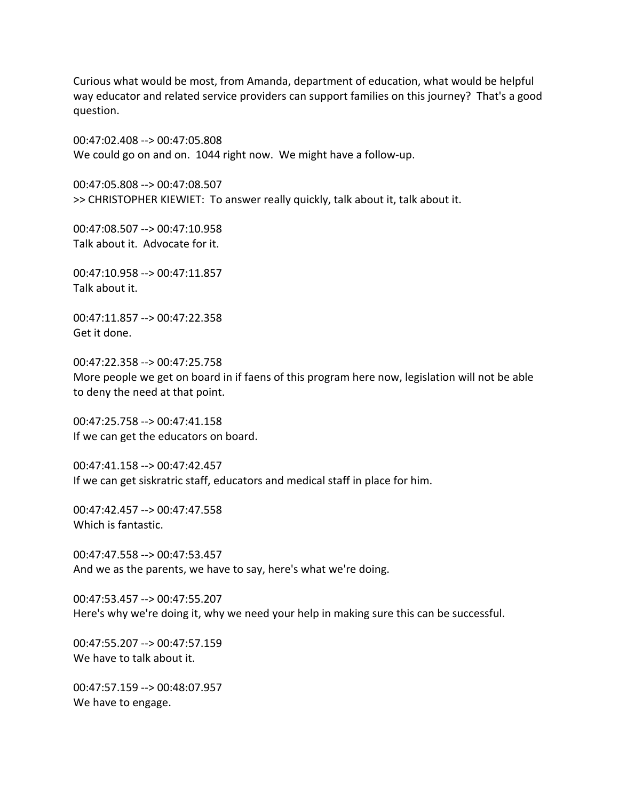Curious what would be most, from Amanda, department of education, what would be helpful way educator and related service providers can support families on this journey? That's a good question.

00:47:02.408 --> 00:47:05.808 We could go on and on. 1044 right now. We might have a follow-up.

00:47:05.808 --> 00:47:08.507 >> CHRISTOPHER KIEWIET: To answer really quickly, talk about it, talk about it.

00:47:08.507 --> 00:47:10.958 Talk about it. Advocate for it.

00:47:10.958 --> 00:47:11.857 Talk about it.

00:47:11.857 --> 00:47:22.358 Get it done.

00:47:22.358 --> 00:47:25.758 More people we get on board in if faens of this program here now, legislation will not be able to deny the need at that point.

00:47:25.758 --> 00:47:41.158 If we can get the educators on board.

00:47:41.158 --> 00:47:42.457 If we can get siskratric staff, educators and medical staff in place for him.

00:47:42.457 --> 00:47:47.558 Which is fantastic.

00:47:47.558 --> 00:47:53.457 And we as the parents, we have to say, here's what we're doing.

00:47:53.457 --> 00:47:55.207 Here's why we're doing it, why we need your help in making sure this can be successful.

00:47:55.207 --> 00:47:57.159 We have to talk about it.

00:47:57.159 --> 00:48:07.957 We have to engage.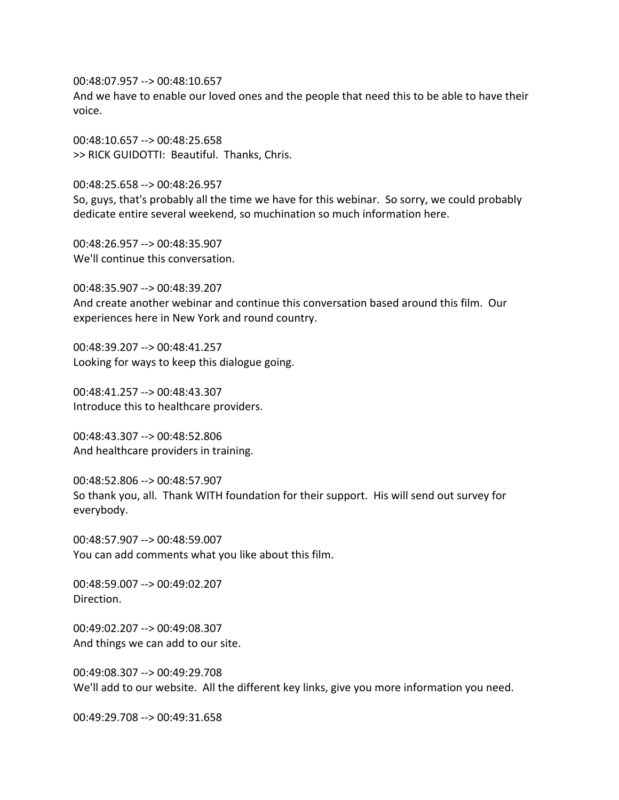00:48:07.957 --> 00:48:10.657

And we have to enable our loved ones and the people that need this to be able to have their voice.

00:48:10.657 --> 00:48:25.658 >> RICK GUIDOTTI: Beautiful. Thanks, Chris.

00:48:25.658 --> 00:48:26.957 So, guys, that's probably all the time we have for this webinar. So sorry, we could probably dedicate entire several weekend, so muchination so much information here.

00:48:26.957 --> 00:48:35.907 We'll continue this conversation.

00:48:35.907 --> 00:48:39.207 And create another webinar and continue this conversation based around this film. Our experiences here in New York and round country.

00:48:39.207 --> 00:48:41.257 Looking for ways to keep this dialogue going.

00:48:41.257 --> 00:48:43.307 Introduce this to healthcare providers.

00:48:43.307 --> 00:48:52.806 And healthcare providers in training.

00:48:52.806 --> 00:48:57.907 So thank you, all. Thank WITH foundation for their support. His will send out survey for everybody.

00:48:57.907 --> 00:48:59.007 You can add comments what you like about this film.

00:48:59.007 --> 00:49:02.207 Direction.

00:49:02.207 --> 00:49:08.307 And things we can add to our site.

00:49:08.307 --> 00:49:29.708 We'll add to our website. All the different key links, give you more information you need.

00:49:29.708 --> 00:49:31.658